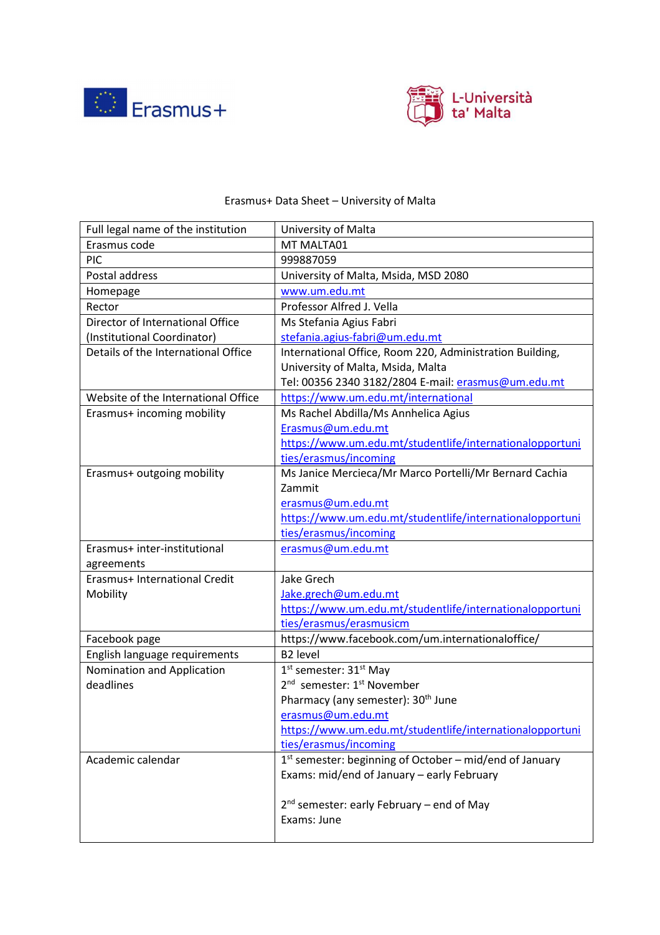



## Erasmus+ Data Sheet – University of Malta

| Full legal name of the institution  | University of Malta                                                 |
|-------------------------------------|---------------------------------------------------------------------|
| Erasmus code                        | MT MALTA01                                                          |
| PIC                                 | 999887059                                                           |
| Postal address                      | University of Malta, Msida, MSD 2080                                |
| Homepage                            | www.um.edu.mt                                                       |
| Rector                              | Professor Alfred J. Vella                                           |
| Director of International Office    | Ms Stefania Agius Fabri                                             |
| (Institutional Coordinator)         | stefania.agius-fabri@um.edu.mt                                      |
| Details of the International Office | International Office, Room 220, Administration Building,            |
|                                     | University of Malta, Msida, Malta                                   |
|                                     | Tel: 00356 2340 3182/2804 E-mail: erasmus@um.edu.mt                 |
| Website of the International Office | https://www.um.edu.mt/international                                 |
| Erasmus+ incoming mobility          | Ms Rachel Abdilla/Ms Annhelica Agius                                |
|                                     | Erasmus@um.edu.mt                                                   |
|                                     | https://www.um.edu.mt/studentlife/internationalopportuni            |
|                                     | ties/erasmus/incoming                                               |
| Erasmus+ outgoing mobility          | Ms Janice Mercieca/Mr Marco Portelli/Mr Bernard Cachia              |
|                                     | Zammit                                                              |
|                                     | erasmus@um.edu.mt                                                   |
|                                     | https://www.um.edu.mt/studentlife/internationalopportuni            |
|                                     | ties/erasmus/incoming                                               |
| Erasmus+ inter-institutional        | erasmus@um.edu.mt                                                   |
| agreements                          |                                                                     |
| Erasmus+ International Credit       | Jake Grech                                                          |
| Mobility                            | Jake.grech@um.edu.mt                                                |
|                                     | https://www.um.edu.mt/studentlife/internationalopportuni            |
|                                     | ties/erasmus/erasmusicm                                             |
| Facebook page                       | https://www.facebook.com/um.internationaloffice/                    |
| English language requirements       | B <sub>2</sub> level                                                |
| Nomination and Application          | 1 <sup>st</sup> semester: 31 <sup>st</sup> May                      |
| deadlines                           | 2 <sup>nd</sup> semester: 1 <sup>st</sup> November                  |
|                                     | Pharmacy (any semester): 30 <sup>th</sup> June                      |
|                                     | erasmus@um.edu.mt                                                   |
|                                     | https://www.um.edu.mt/studentlife/internationalopportuni            |
|                                     | ties/erasmus/incoming                                               |
| Academic calendar                   | 1 <sup>st</sup> semester: beginning of October – mid/end of January |
|                                     | Exams: mid/end of January - early February                          |
|                                     |                                                                     |
|                                     | 2 <sup>nd</sup> semester: early February – end of May               |
|                                     | Exams: June                                                         |
|                                     |                                                                     |